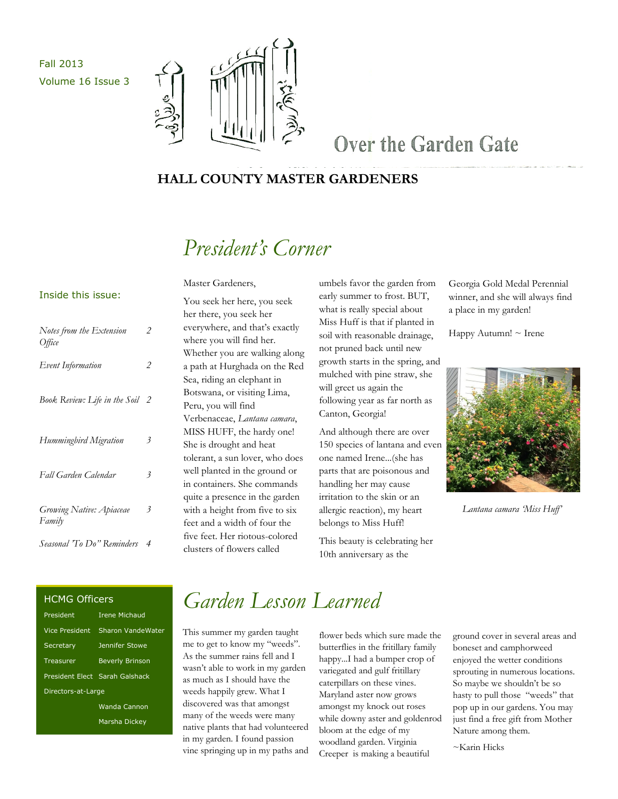Fall 2013 Volume 16 Issue 3



### Over the Garden Gate

#### **HALL COUNTY MASTER GARDENERS**

### *President's Corner*

Master Gardeners,

#### Inside this issue:

| Notes from the Extension<br><i>Office</i> | 2              |
|-------------------------------------------|----------------|
| Event Information                         | 2              |
| Book Review: Life in the Soil             | 2              |
| Hummingbird Migration                     | 3              |
| Fall Garden Calendar                      | 3              |
| Growing Native: Apiaceae<br>Family        | 3              |
| Seasonal 'To Do" Reminders                | $\overline{4}$ |

You seek her here, you seek her there, you seek her everywhere, and that's exactly where you will find her. Whether you are walking along a path at Hurghada on the Red Sea, riding an elephant in Botswana, or visiting Lima, Peru, you will find Verbenaceae, *Lantana camara*, MISS HUFF, the hardy one! She is drought and heat tolerant, a sun lover, who does well planted in the ground or in containers. She commands quite a presence in the garden with a height from five to six feet and a width of four the five feet. Her riotous-colored clusters of flowers called

umbels favor the garden from early summer to frost. BUT, what is really special about Miss Huff is that if planted in soil with reasonable drainage, not pruned back until new growth starts in the spring, and mulched with pine straw, she will greet us again the following year as far north as Canton, Georgia!

And although there are over 150 species of lantana and even one named Irene...(she has parts that are poisonous and handling her may cause irritation to the skin or an allergic reaction), my heart belongs to Miss Huff!

This beauty is celebrating her 10th anniversary as the

Georgia Gold Medal Perennial winner, and she will always find a place in my garden!

Happy Autumn! ~ Irene



*Lantana camara 'Miss Huff'*

#### HCMG Officers

| President             | <b>Irene Michaud</b>           |  |
|-----------------------|--------------------------------|--|
| <b>Vice President</b> | Sharon VandeWater              |  |
| Secretary             | Jennifer Stowe                 |  |
| Treasurer             | <b>Beverly Brinson</b>         |  |
|                       | President Elect Sarah Galshack |  |
| Directors-at-Large    |                                |  |
|                       | Wanda Cannon                   |  |
|                       | Marsha Dickev                  |  |

### *Garden Lesson Learned*

This summer my garden taught me to get to know my "weeds". As the summer rains fell and I wasn't able to work in my garden as much as I should have the weeds happily grew. What I discovered was that amongst many of the weeds were many native plants that had volunteered in my garden. I found passion vine springing up in my paths and

flower beds which sure made the butterflies in the fritillary family happy...I had a bumper crop of variegated and gulf fritillary caterpillars on these vines. Maryland aster now grows amongst my knock out roses while downy aster and goldenrod bloom at the edge of my woodland garden. Virginia Creeper is making a beautiful

ground cover in several areas and boneset and camphorweed enjoyed the wetter conditions sprouting in numerous locations. So maybe we shouldn't be so hasty to pull those "weeds" that pop up in our gardens. You may just find a free gift from Mother Nature among them.

~Karin Hicks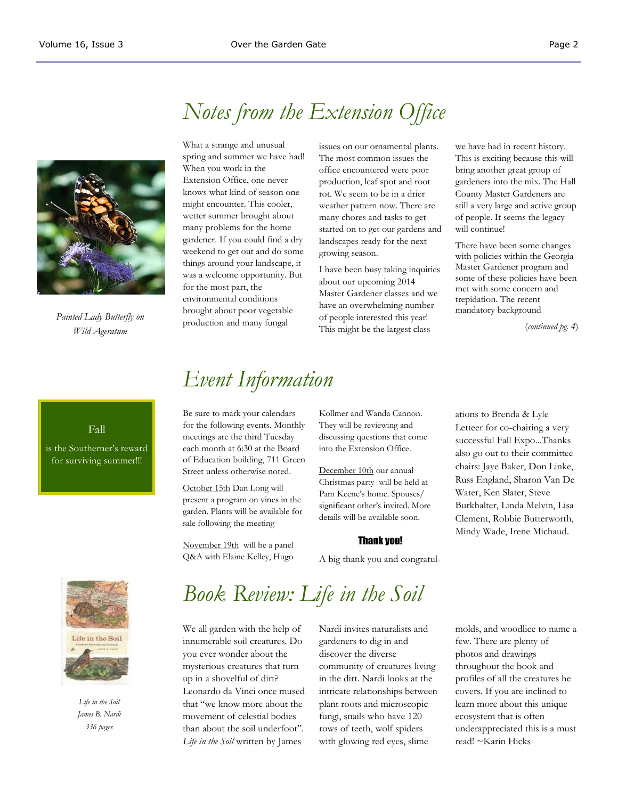

*Painted Lady Butterfly on Wild Ageratum*

### *Notes from the Extension Office*

What a strange and unusual spring and summer we have had! When you work in the Extension Office, one never knows what kind of season one might encounter. This cooler, wetter summer brought about many problems for the home gardener. If you could find a dry weekend to get out and do some things around your landscape, it was a welcome opportunity. But for the most part, the environmental conditions brought about poor vegetable production and many fungal

issues on our ornamental plants. The most common issues the office encountered were poor production, leaf spot and root rot. We seem to be in a drier weather pattern now. There are many chores and tasks to get started on to get our gardens and landscapes ready for the next growing season.

I have been busy taking inquiries about our upcoming 2014 Master Gardener classes and we have an overwhelming number of people interested this year! This might be the largest class

we have had in recent history. This is exciting because this will bring another great group of gardeners into the mix. The Hall County Master Gardeners are still a very large and active group of people. It seems the legacy will continue!

There have been some changes with policies within the Georgia Master Gardener program and some of these policies have been met with some concern and trepidation. The recent mandatory background

(*continued pg. 4*)

#### Fall

is the Southerner's reward for surviving summer!!!

#### *Event Information*

Be sure to mark your calendars for the following events. Monthly meetings are the third Tuesday each month at 6:30 at the Board of Education building, 711 Green Street unless otherwise noted.

October 15th Dan Long will present a program on vines in the garden. Plants will be available for sale following the meeting

November 19th will be a panel Q&A with Elaine Kelley, Hugo Kollmer and Wanda Cannon. They will be reviewing and discussing questions that come into the Extension Office.

December 10th our annual Christmas party will be held at Pam Keene's home. Spouses/ significant other's invited. More details will be available soon.

#### Thank you!

A big thank you and congratul-

ations to Brenda & Lyle Letteer for co-chairing a very successful Fall Expo...Thanks also go out to their committee chairs: Jaye Baker, Don Linke, Russ England, Sharon Van De Water, Ken Slater, Steve Burkhalter, Linda Melvin, Lisa Clement, Robbie Butterworth, Mindy Wade, Irene Michaud.



*Life in the Soil James B. Nardi 336 pages* 

## *Book Review: Life in the Soil*

We all garden with the help of innumerable soil creatures. Do you ever wonder about the mysterious creatures that turn up in a shovelful of dirt? Leonardo da Vinci once mused that "we know more about the movement of celestial bodies than about the soil underfoot". *Life in the Soil* written by James

Nardi invites naturalists and gardeners to dig in and discover the diverse community of creatures living in the dirt. Nardi looks at the intricate relationships between plant roots and microscopic fungi, snails who have 120 rows of teeth, wolf spiders with glowing red eyes, slime

molds, and woodlice to name a few. There are plenty of photos and drawings throughout the book and profiles of all the creatures he covers. If you are inclined to learn more about this unique ecosystem that is often underappreciated this is a must read! ~Karin Hicks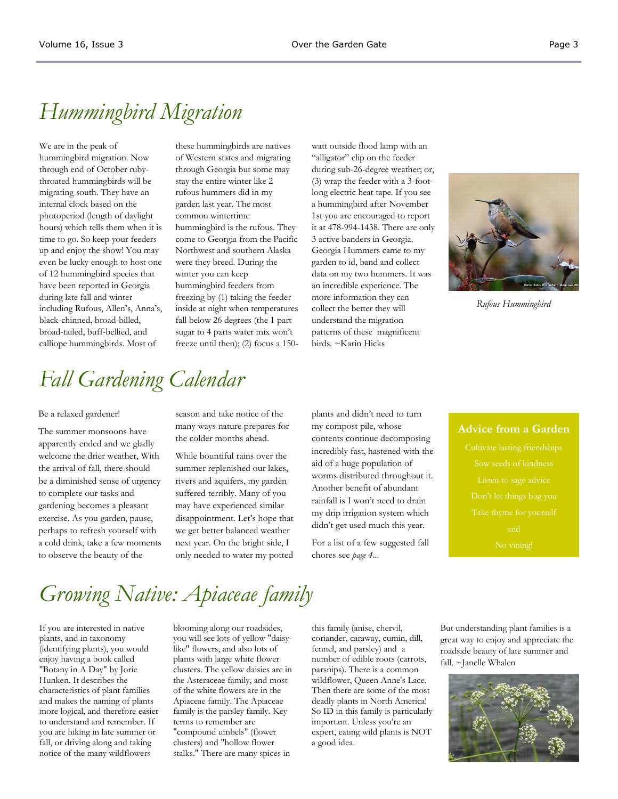### *Hummingbird Migration*

We are in the peak of hummingbird migration. Now through end of October rubythroated hummingbirds will be migrating south. They have an internal clock based on the photoperiod (length of daylight hours) which tells them when it is time to go. So keep your feeders up and enjoy the show! You may even be lucky enough to host one of 12 hummingbird species that have been reported in Georgia during late fall and winter including Rufous, Allen's, Anna's, black-chinned, broad-billed, broad-tailed, buff-bellied, and calliope hummingbirds. Most of

these hummingbirds are natives of Western states and migrating through Georgia but some may stay the entire winter like 2 rufous hummers did in my garden last year. The most common wintertime hummingbird is the rufous. They come to Georgia from the Pacific Northwest and southern Alaska were they breed. During the winter you can keep hummingbird feeders from freezing by (1) taking the feeder inside at night when temperatures fall below 26 degrees (the 1 part sugar to 4 parts water mix won't freeze until then); (2) focus a 150watt outside flood lamp with an "alligator" clip on the feeder during sub-26-degree weather; or, (3) wrap the feeder with a 3-footlong electric heat tape. If you see a hummingbird after November 1st you are encouraged to report it at 478-994-1438. There are only 3 active banders in Georgia. Georgia Hummers came to my garden to id, band and collect data on my two hummers. It was an incredible experience. The more information they can collect the better they will understand the migration patterns of these magnificent birds. ~Karin Hicks



*Rufous Hummingbird*

# *Fall Gardening Calendar*

#### Be a relaxed gardener!

The summer monsoons have apparently ended and we gladly welcome the drier weather, With the arrival of fall, there should be a diminished sense of urgency to complete our tasks and gardening becomes a pleasant exercise. As you garden, pause, perhaps to refresh yourself with a cold drink, take a few moments to observe the beauty of the

season and take notice of the many ways nature prepares for the colder months ahead.

While bountiful rains over the summer replenished our lakes, rivers and aquifers, my garden suffered terribly. Many of you may have experienced similar disappointment. Let's hope that we get better balanced weather next year. On the bright side, I only needed to water my potted plants and didn't need to turn my compost pile, whose contents continue decomposing incredibly fast, hastened with the aid of a huge population of worms distributed throughout it. Another benefit of abundant rainfall is I won't need to drain my drip irrigation system which didn't get used much this year.

For a list of a few suggested fall chores see *page 4...*

#### **Advice from a Garden**

# *Growing Native: Apiaceae family*

If you are interested in native plants, and in taxonomy (identifying plants), you would enjoy having a book called "Botany in A Day" by Jorie Hunken. It describes the characteristics of plant families and makes the naming of plants more logical, and therefore easier to understand and remember. If you are hiking in late summer or fall, or driving along and taking notice of the many wildflowers

blooming along our roadsides, you will see lots of yellow "daisylike" flowers, and also lots of plants with large white flower clusters. The yellow daisies are in the Asteraceae family, and most of the white flowers are in the Apiaceae family. The Apiaceae family is the parsley family. Key terms to remember are "compound umbels" (flower clusters) and "hollow flower stalks." There are many spices in

this family (anise, chervil, coriander, caraway, cumin, dill, fennel, and parsley) and a number of edible roots (carrots, parsnips). There is a common wildflower, Queen Anne's Lace. Then there are some of the most deadly plants in North America! So ID in this family is particularly important. Unless you're an expert, eating wild plants is NOT a good idea.

But understanding plant families is a great way to enjoy and appreciate the roadside beauty of late summer and fall. ~Janelle Whalen